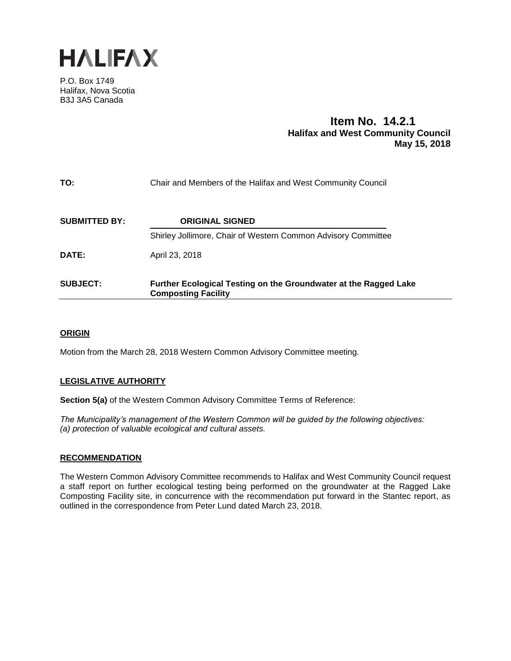

P.O. Box 1749 Halifax, Nova Scotia B3J 3A5 Canada

# **Item No. 14.2.1 Halifax and West Community Council May 15, 2018**

| TO:                  | Chair and Members of the Halifax and West Community Council                                    |
|----------------------|------------------------------------------------------------------------------------------------|
| <b>SUBMITTED BY:</b> | <b>ORIGINAL SIGNED</b>                                                                         |
|                      | Shirley Jollimore, Chair of Western Common Advisory Committee                                  |
| DATE:                | April 23, 2018                                                                                 |
| <b>SUBJECT:</b>      | Further Ecological Testing on the Groundwater at the Ragged Lake<br><b>Composting Facility</b> |

## **ORIGIN**

Motion from the March 28, 2018 Western Common Advisory Committee meeting.

## **LEGISLATIVE AUTHORITY**

**Section 5(a)** of the Western Common Advisory Committee Terms of Reference:

*The Municipality's management of the Western Common will be guided by the following objectives: (a) protection of valuable ecological and cultural assets.*

#### **RECOMMENDATION**

The Western Common Advisory Committee recommends to Halifax and West Community Council request a staff report on further ecological testing being performed on the groundwater at the Ragged Lake Composting Facility site, in concurrence with the recommendation put forward in the Stantec report, as outlined in the correspondence from Peter Lund dated March 23, 2018.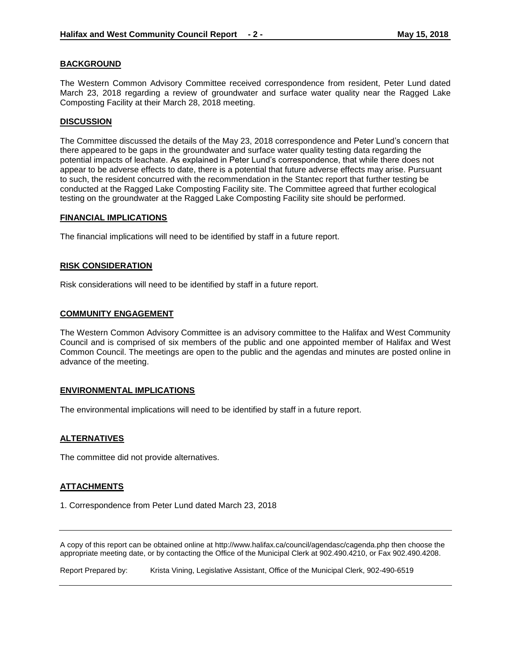#### **BACKGROUND**

The Western Common Advisory Committee received correspondence from resident, Peter Lund dated March 23, 2018 regarding a review of groundwater and surface water quality near the Ragged Lake Composting Facility at their March 28, 2018 meeting.

#### **DISCUSSION**

The Committee discussed the details of the May 23, 2018 correspondence and Peter Lund's concern that there appeared to be gaps in the groundwater and surface water quality testing data regarding the potential impacts of leachate. As explained in Peter Lund's correspondence, that while there does not appear to be adverse effects to date, there is a potential that future adverse effects may arise. Pursuant to such, the resident concurred with the recommendation in the Stantec report that further testing be conducted at the Ragged Lake Composting Facility site. The Committee agreed that further ecological testing on the groundwater at the Ragged Lake Composting Facility site should be performed.

#### **FINANCIAL IMPLICATIONS**

The financial implications will need to be identified by staff in a future report.

#### **RISK CONSIDERATION**

Risk considerations will need to be identified by staff in a future report.

#### **COMMUNITY ENGAGEMENT**

The Western Common Advisory Committee is an advisory committee to the Halifax and West Community Council and is comprised of six members of the public and one appointed member of Halifax and West Common Council. The meetings are open to the public and the agendas and minutes are posted online in advance of the meeting.

#### **ENVIRONMENTAL IMPLICATIONS**

The environmental implications will need to be identified by staff in a future report.

#### **ALTERNATIVES**

The committee did not provide alternatives.

#### **ATTACHMENTS**

1. Correspondence from Peter Lund dated March 23, 2018

A copy of this report can be obtained online at http://www.halifax.ca/council/agendasc/cagenda.php then choose the appropriate meeting date, or by contacting the Office of the Municipal Clerk at 902.490.4210, or Fax 902.490.4208.

Report Prepared by: Krista Vining, Legislative Assistant, Office of the Municipal Clerk, 902-490-6519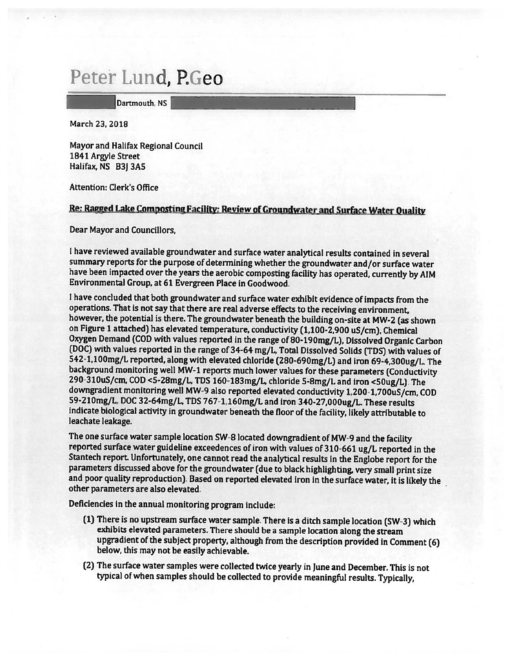# Peter Lund, P.Geo

Dartmouth, NS

March 23, 2018

Mayor and Halifax Regional Council 1841 Argyle Street Halifax, NS B3] 3A5

Attention: Clerk's Office

## Re: Ragged Lake Composting Facility: Review of Groundwater and Surface Water Quality

Dear Mayor and Councillors,

<sup>I</sup> have reviewed available groundwater and surface water analytical results contained in several summary reports for the purpose of determining whether the groundwater and/or surface water have been impacted over the years the aerobic composting facility has operated, currently by AIM Environmental Group, at 61 Evergreen Place in Goodwood.

I have concluded that both groundwater and surface water exhibit evidence of impacts from the operations. That is not say that there are real adverse effects to the receiving environment, however, the potential is there. The groundwater beneath the building on-site at MW-2 (as shown on Figure 1 attached) has elevated temperature, conductivity (1,100-2,900 uS/cm). Chemical<br>Oxygen Demand (COD with values reported in the range of 80-190mg/L), Dissolved Organic Carbon (DOC) with values reported in the range of 34-64 mg/L, Total Dissolved Solids (TDS) with values of<br>542-1,100mg/L reported, along with elevated chloride (280-690mg/L) and iron 69-4,300ug/L. The background monitoring well MW-1 reports much lower values for these parameters (Conductivity 290-310uS/cm, COD <5-28mg/L, TDS 160-183mg/L, chloride 5-8mg/L and iron <50ug/L). The downgradient monitoring well MW-9 also repo 59-210mg/L, DOC 32-64mg/L, TDS 767-1,160mg/L and iron 340-27,000ug/L. These results indicate biological activity in groundwater beneath the floor of the facility, likely attributable to leachate leakage.

The one surface water sample location SW-8 located downgradient of MW-9 and the facility<br>reported surface water guideline exceedences of iron with values of 310-661 ug/L reported in the<br>Stantech report. Unfortunately, one and poor quality reproduction). Based on reported elevated iron in the surface water, it is likely the other parameters are also elevated.

Deficiencies in the annual monitoring program include:

- (1) There is no upstream surface water sample. There is <sup>a</sup> ditch sample location (SW-3J which exhibits elevated parameters. There should be <sup>a</sup> sample location along the stream upgradient of the subject property, although from the description provided in Comment (6) below, this may not be easily achievable.
- (2) The surface water samples were collected twice yearly in June and December. This is not typical of when samples should be collected to provide meaningful results, Typically,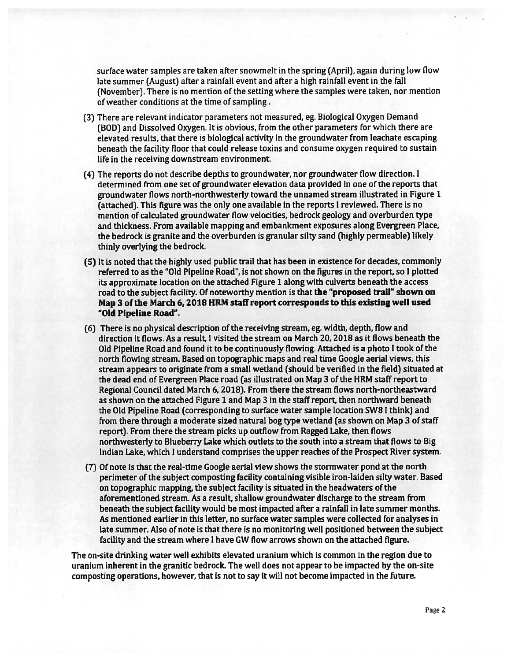surface water samples are taken after snowmelt in the spring (April), again during low flow late summer (August) after a rainfall event and after a high rainfall event in the fall (November). There is no mention of the setting where the samples were taken, nor mention of weather conditions at the time of sampling.

- (3) There are relevant indicator parameters not measured, eg. Biological Oxygen Demand (DOD) and Dissolved Oxygen. It is obvious, from the other parameters for which there are elevated results, that there is biological activity in the groundwater from leachate escaping beneath the facility floor that could release toxins and consume oxygen required to sustain life in the receiving downstream environment,
- (4) The reports do not describe depths to groundwater, nor groundwater flow direction. <sup>I</sup> determined from one set of groundwater elevation data provided in one of the reports that groundwater flows north-northwesterly toward the unnamed stream illustrated in Figure <sup>1</sup> (attached). This figure was the only one available in the reports I reviewed. There is no mention of calculated groundwater flow velocities, bedrock geology and overburden type and thickness. From available mapping and embankment exposures along Evergreen Place, the bedrock is granite and the overburden is granular silty sand (highly permeable) likely thinly overlying the bedrock.
- (5) It is noted that the highly used public trail that has been in existence for decades, commonly referred to as the 'Old Pipeline Road", is not shown on the figures in the report, so <sup>I</sup> plotted its approximate location on the attached Figure <sup>1</sup> along with culverts beneath the access road to the subject facility. Of noteworthy mention is that the "proposed trail" shown on Map 3 of the March 6, 2018 HRM staff report corresponds to this existing well used "Old Pipeline Road".
- (6) There is no physical description of the receiving stream, eg. width, depth, flow and direction it flows. As <sup>a</sup> result, I visited the stream on March 20, 2018 as it flows beneath the Old Pipeline Road and found it to be continuously flowing. Attached is <sup>a</sup> photo <sup>I</sup> took of the north flowing stream. Based on topographic maps and real time Google aerial views, this stream appears to originate from <sup>a</sup> small wetland (should be verified in the field) situated at the dead end of Evergreen Place road (as illustrated on Map 3 of the HRM staff repor<sup>t</sup> to Regional Council dated March 6, 2018). From there the stream flows north-northeastward as shown on the attached Figure 1 and Map 3 in the staff report, then northward beneath the Old Pipeline Road (corresponding to surface water sample location SW8 I think) and from there through <sup>a</sup> moderate sized natural bog type wetland (as shown on Map 3 ofstaff report). From there the stream picks up outflow from Ragged Lake, then flows northwesterly to Blueberry Lake which outlets to the south into <sup>a</sup> stream that flows to Big Indian Lake, which <sup>I</sup> understand comprises the upper reaches of the Prospect River system.
- (7) Of note is that the real-time Google aerial view shows the storrnwater pond at the north perimeter of the subject composting facility containing visible iron-laiden silty water. Based on topographic mapping, the subject facility is situated in the headwaters of the aforementioned stream. As <sup>a</sup> result, shallow groundwater discharge to the stream from beneath the subject facility would be most impacted after <sup>a</sup> rainfall in late summer months. As mentioned earlier in this letter, no surface water samples were collected for analyses in late summer. Also of note is that there is no monitoring well positioned between the subject facility and the stream where 1 have GW flow arrows shown on the attached figure.

The on-site drinking water well exhibits elevated uranium which is common in the region due to uranium inherent in the granitic bedrock The well does not appear to be impacted by the on-site composting operations, however, that is not to say it will not become impacted in the future.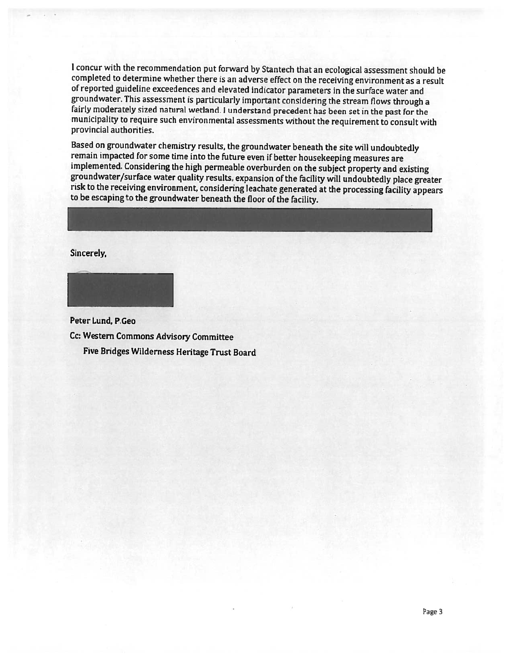I concur with the recommendation put forward by Stantech that an ecological assessment should be completed to determine whether there is an adverse effect on the receiving environment as a result of reported guideline exceedences and elevated indicator parameters in the surface water and<br>groundwater. This assessment is particularly important considering the stream flows through a fairly moderately sized natural wetland. I understand precedent has been set in the past for the municipality to require such environmental assessments without the requirement to consult with provincial authorities.

Based on groundwater chemistry results, the groundwater beneath the site will undoubtedly<br>remain impacted for some time into the future even if better housekeeping measures are<br>implemented. Considering the high permeable o

Sincerely,



Peter Lund, P.Geo Cc: Western Commons Advisory Committee Five Bridges Wilderness Heritage Trust Board